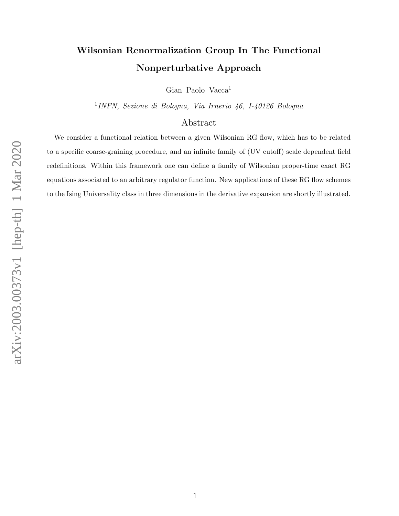# Wilsonian Renormalization Group In The Functional Nonperturbative Approach

Gian Paolo Vacca<sup>1</sup>

1 INFN, Sezione di Bologna, Via Irnerio 46, I-40126 Bologna

## Abstract

We consider a functional relation between a given Wilsonian RG flow, which has to be related to a specific coarse-graining procedure, and an infinite family of (UV cutoff) scale dependent field redefinitions. Within this framework one can define a family of Wilsonian proper-time exact RG equations associated to an arbitrary regulator function. New applications of these RG flow schemes to the Ising Universality class in three dimensions in the derivative expansion are shortly illustrated.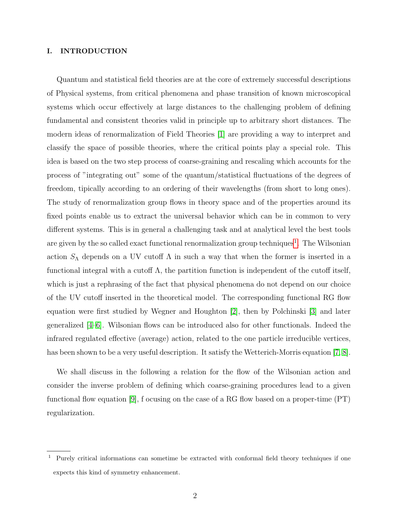#### I. INTRODUCTION

Quantum and statistical field theories are at the core of extremely successful descriptions of Physical systems, from critical phenomena and phase transition of known microscopical systems which occur effectively at large distances to the challenging problem of defining fundamental and consistent theories valid in principle up to arbitrary short distances. The modern ideas of renormalization of Field Theories [\[1\]](#page-12-0) are providing a way to interpret and classify the space of possible theories, where the critical points play a special role. This idea is based on the two step process of coarse-graining and rescaling which accounts for the process of "integrating out" some of the quantum/statistical fluctuations of the degrees of freedom, tipically according to an ordering of their wavelengths (from short to long ones). The study of renormalization group flows in theory space and of the properties around its fixed points enable us to extract the universal behavior which can be in common to very different systems. This is in general a challenging task and at analytical level the best tools are given by the so called exact functional renormalization group techniques<sup>[1](#page-1-0)</sup>. The Wilsonian action  $S_\Lambda$  depends on a UV cutoff  $\Lambda$  in such a way that when the former is inserted in a functional integral with a cutoff  $\Lambda$ , the partition function is independent of the cutoff itself, which is just a rephrasing of the fact that physical phenomena do not depend on our choice of the UV cutoff inserted in the theoretical model. The corresponding functional RG flow equation were first studied by Wegner and Houghton [\[2\]](#page-12-1), then by Polchinski [\[3\]](#page-12-2) and later generalized [\[4–](#page-12-3)[6\]](#page-12-4). Wilsonian flows can be introduced also for other functionals. Indeed the infrared regulated effective (average) action, related to the one particle irreducible vertices, has been shown to be a very useful description. It satisfy the Wetterich-Morris equation [\[7,](#page-12-5) [8\]](#page-12-6).

We shall discuss in the following a relation for the flow of the Wilsonian action and consider the inverse problem of defining which coarse-graining procedures lead to a given functional flow equation [\[9\]](#page-12-7), f ocusing on the case of a RG flow based on a proper-time  $(PT)$ regularization.

<span id="page-1-0"></span><sup>1</sup> Purely critical informations can sometime be extracted with conformal field theory techniques if one expects this kind of symmetry enhancement.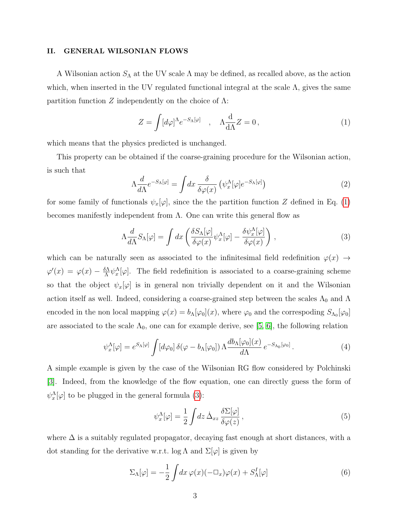#### II. GENERAL WILSONIAN FLOWS

A Wilsonian action  $S_{\Lambda}$  at the UV scale  $\Lambda$  may be defined, as recalled above, as the action which, when inserted in the UV regulated functional integral at the scale  $\Lambda$ , gives the same partition function Z independently on the choice of  $\Lambda$ :

<span id="page-2-0"></span>
$$
Z = \int [d\varphi]^{\Lambda} e^{-S_{\Lambda}[\varphi]} \quad , \quad \Lambda \frac{\mathrm{d}}{\mathrm{d}\Lambda} Z = 0 \,, \tag{1}
$$

which means that the physics predicted is unchanged.

This property can be obtained if the coarse-graining procedure for the Wilsonian action, is such that

<span id="page-2-3"></span>
$$
\Lambda \frac{d}{d\Lambda} e^{-S_{\Lambda}[\varphi]} = \int dx \frac{\delta}{\delta \varphi(x)} \left( \psi_x^{\Lambda}[\varphi] e^{-S_{\Lambda}[\varphi]} \right) \tag{2}
$$

for some family of functionals  $\psi_x[\varphi]$ , since the the partition function Z defined in Eq. [\(1\)](#page-2-0) becomes manifestly independent from  $\Lambda$ . One can write this general flow as

<span id="page-2-1"></span>
$$
\Lambda \frac{d}{d\Lambda} S_{\Lambda}[\varphi] = \int dx \left( \frac{\delta S_{\Lambda}[\varphi]}{\delta \varphi(x)} \psi_x^{\Lambda}[\varphi] - \frac{\delta \psi_x^{\Lambda}[\varphi]}{\delta \varphi(x)} \right) , \qquad (3)
$$

which can be naturally seen as associated to the infinitesimal field redefinition  $\varphi(x) \rightarrow$  $\varphi'(x) = \varphi(x) - \frac{\delta \Lambda}{\Lambda}$  $\frac{\delta \Lambda}{\Lambda} \psi_x^{\Lambda}[\varphi]$ . The field redefinition is associated to a coarse-graining scheme so that the object  $\psi_x[\varphi]$  is in general non trivially dependent on it and the Wilsonian action itself as well. Indeed, considering a coarse-grained step between the scales  $\Lambda_0$  and  $\Lambda$ encoded in the non local mapping  $\varphi(x) = b_{\Lambda}[\varphi_0](x)$ , where  $\varphi_0$  and the correspoding  $S_{\Lambda_0}[\varphi_0]$ are associated to the scale  $\Lambda_0$ , one can for example derive, see [\[5,](#page-12-8) [6\]](#page-12-4), the following relation

$$
\psi_x^{\Lambda}[\varphi] = e^{S_{\Lambda}[\varphi]} \int [d\varphi_0] \, \delta(\varphi - b_{\Lambda}[\varphi_0]) \, \Lambda \frac{db_{\Lambda}[\varphi_0](x)}{d\Lambda} \, e^{-S_{\Lambda_0}[\varphi_0]} \,. \tag{4}
$$

A simple example is given by the case of the Wilsonian RG flow considered by Polchinski [\[3\]](#page-12-2). Indeed, from the knowledge of the flow equation, one can directly guess the form of  $\psi_x^{\Lambda}[\varphi]$  to be plugged in the general formula [\(3\)](#page-2-1):

<span id="page-2-2"></span>
$$
\psi_x^{\Lambda}[\varphi] = \frac{1}{2} \int dz \, \dot{\Delta}_{xz} \frac{\delta \Sigma[\varphi]}{\delta \varphi(z)} , \qquad (5)
$$

where  $\Delta$  is a suitably regulated propagator, decaying fast enough at short distances, with a dot standing for the derivative w.r.t. log  $\Lambda$  and  $\Sigma[\varphi]$  is given by

$$
\Sigma_{\Lambda}[\varphi] = -\frac{1}{2} \int dx \,\varphi(x)(-\Box_x)\varphi(x) + S_{\Lambda}^I[\varphi] \tag{6}
$$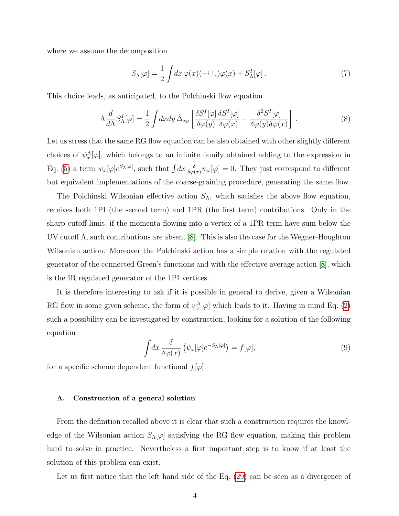where we assume the decomposition

$$
S_{\Lambda}[\varphi] = \frac{1}{2} \int dx \,\varphi(x)(-\Box_x)\varphi(x) + S_{\Lambda}^I[\varphi]. \tag{7}
$$

This choice leads, as anticipated, to the Polchinski flow equation

$$
\Lambda \frac{d}{d\Lambda} S^I_{\Lambda}[\varphi] = \frac{1}{2} \int dx dy \, \dot{\Delta}_{xy} \left[ \frac{\delta S^I[\varphi]}{\delta \varphi(y)} \frac{\delta S^I[\varphi]}{\delta \varphi(x)} - \frac{\delta^2 S^I[\varphi]}{\delta \varphi(y) \delta \varphi(x)} \right] \,. \tag{8}
$$

Let us stress that the same RG flow equation can be also obtained with other slightly different choices of  $\psi_x^{\Lambda}[\varphi]$ , which belongs to an infinite family obtained adding to the expression in Eq. [\(5\)](#page-2-2) a term  $w_x[\varphi]e^{S_{\Lambda}[\varphi]}$ , such that  $\int dx \frac{\delta}{\delta \varphi(x)}w_x[\varphi] = 0$ . They just correspond to different but equivalent implementations of the coarse-graining procedure, generating the same flow.

The Polchinski Wilsonian effective action  $S_{\Lambda}$ , which satisfies the above flow equation, receives both 1PI (the second term) and 1PR (the first term) contributions. Only in the sharp cutoff limit, if the momenta flowing into a vertex of a 1PR term have sum below the UV cutoff  $\Lambda$ , such contributions are absent [\[8\]](#page-12-6). This is also the case for the Wegner-Houghton Wilsonian action. Moreover the Polchinski action has a simple relation with the regulated generator of the connected Green's functions and with the effective average action [\[8\]](#page-12-6), which is the IR regulated generator of the 1PI vertices.

It is therefore interesting to ask if it is possible in general to derive, given a Wilsonian RG flow in some given scheme, the form of  $\psi_x^{\Lambda}[\varphi]$  which leads to it. Having in mind Eq. [\(2\)](#page-2-3) such a possibility can be investigated by construction, looking for a solution of the following equation

$$
\int dx \frac{\delta}{\delta \varphi(x)} \left( \psi_x[\varphi] e^{-S_{\Lambda}[\varphi]} \right) = f[\varphi], \tag{9}
$$

for a specific scheme dependent functional  $f[\varphi]$ .

#### A. Construction of a general solution

From the definition recalled above it is clear that such a construction requires the knowledge of the Wilsonian action  $S_{\Lambda}[\varphi]$  satisfying the RG flow equation, making this problem hard to solve in practice. Nevertheless a first important step is to know if at least the solution of this problem can exist.

Let us first notice that the left hand side of the Eq. [\(29\)](#page-8-0) can be seen as a divergence of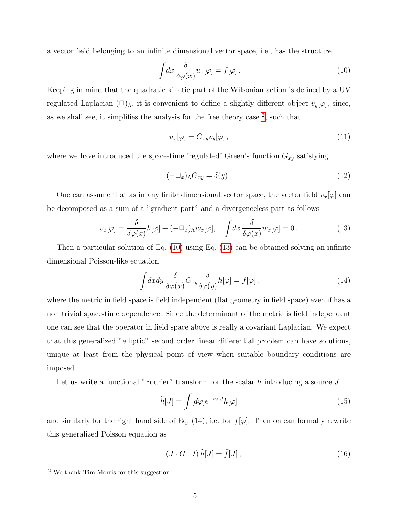a vector field belonging to an infinite dimensional vector space, i.e., has the structure

<span id="page-4-1"></span>
$$
\int dx \frac{\delta}{\delta \varphi(x)} u_x[\varphi] = f[\varphi]. \tag{10}
$$

Keeping in mind that the quadratic kinetic part of the Wilsonian action is defined by a UV regulated Laplacian  $(\Box)_{\Lambda}$ , it is convenient to define a slightly different object  $v_y[\varphi]$ , since, as we shall see, it simplifies the analysis for the free theory case  $^2$  $^2$ , such that

$$
u_x[\varphi] = G_{xy} v_y[\varphi], \qquad (11)
$$

where we have introduced the space-time 'regulated' Green's function  $G_{xy}$  satisfying

$$
(-\Box_x)_{\Lambda} G_{xy} = \delta(y) \,. \tag{12}
$$

One can assume that as in any finite dimensional vector space, the vector field  $v_x[\varphi]$  can be decomposed as a sum of a "gradient part" and a divergenceless part as follows

<span id="page-4-2"></span>
$$
v_x[\varphi] = \frac{\delta}{\delta \varphi(x)} h[\varphi] + (-\Box_x) \Lambda w_x[\varphi], \quad \int dx \, \frac{\delta}{\delta \varphi(x)} w_x[\varphi] = 0. \tag{13}
$$

Then a particular solution of Eq. [\(10\)](#page-4-1) using Eq. [\(13\)](#page-4-2) can be obtained solving an infinite dimensional Poisson-like equation

<span id="page-4-3"></span>
$$
\int dx dy \frac{\delta}{\delta \varphi(x)} G_{xy} \frac{\delta}{\delta \varphi(y)} h[\varphi] = f[\varphi]. \tag{14}
$$

where the metric in field space is field independent (flat geometry in field space) even if has a non trivial space-time dependence. Since the determinant of the metric is field independent one can see that the operator in field space above is really a covariant Laplacian. We expect that this generalized "elliptic" second order linear differential problem can have solutions, unique at least from the physical point of view when suitable boundary conditions are imposed.

Let us write a functional "Fourier" transform for the scalar  $h$  introducing a source  $J$ 

$$
\tilde{h}[J] = \int [d\varphi] e^{-i\varphi \cdot J} h[\varphi]
$$
\n(15)

and similarly for the right hand side of Eq. [\(14\)](#page-4-3), i.e. for  $f[\varphi]$ . Then on can formally rewrite this generalized Poisson equation as

$$
- (J \cdot G \cdot J) \tilde{h}[J] = \tilde{f}[J], \qquad (16)
$$

<span id="page-4-0"></span><sup>2</sup> We thank Tim Morris for this suggestion.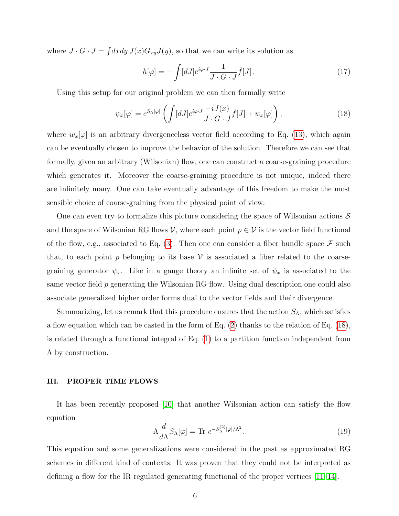where  $J \cdot G \cdot J = \int dx dy J(x) G_{xy} J(y)$ , so that we can write its solution as

$$
h[\varphi] = -\int [dJ] e^{i\varphi \cdot J} \frac{1}{J \cdot G \cdot J} \tilde{f}[J]. \tag{17}
$$

Using this setup for our original problem we can then formally write

<span id="page-5-0"></span>
$$
\psi_x[\varphi] = e^{S_{\Lambda}[\varphi]} \left( \int [dJ] e^{i\varphi \cdot J} \frac{-iJ(x)}{J \cdot G \cdot J} \tilde{f}[J] + w_x[\varphi] \right),\tag{18}
$$

where  $w_x[\varphi]$  is an arbitrary divergenceless vector field according to Eq. [\(13\)](#page-4-2), which again can be eventually chosen to improve the behavior of the solution. Therefore we can see that formally, given an arbitrary (Wilsonian) flow, one can construct a coarse-graining procedure which generates it. Moreover the coarse-graining procedure is not unique, indeed there are infinitely many. One can take eventually advantage of this freedom to make the most sensible choice of coarse-graining from the physical point of view.

One can even try to formalize this picture considering the space of Wilsonian actions  $\mathcal S$ and the space of Wilsonian RG flows V, where each point  $p \in V$  is the vector field functional of the flow, e.g., associated to Eq. [\(3\)](#page-2-1). Then one can consider a fiber bundle space  $\mathcal F$  such that, to each point p belonging to its base  $\mathcal V$  is associated a fiber related to the coarsegraining generator  $\psi_x$ . Like in a gauge theory an infinite set of  $\psi_x$  is associated to the same vector field p generating the Wilsonian RG flow. Using dual description one could also associate generalized higher order forms dual to the vector fields and their divergence.

Summarizing, let us remark that this procedure ensures that the action  $S_{\Lambda}$ , which satisfies a flow equation which can be casted in the form of Eq. [\(2\)](#page-2-3) thanks to the relation of Eq. [\(18\)](#page-5-0), is related through a functional integral of Eq. [\(1\)](#page-2-0) to a partition function independent from Λ by construction.

#### III. PROPER TIME FLOWS

It has been recently proposed [\[10\]](#page-12-9) that another Wilsonian action can satisfy the flow equation

<span id="page-5-1"></span>
$$
\Lambda \frac{d}{d\Lambda} S_{\Lambda}[\varphi] = \text{Tr} \ e^{-S_{\Lambda}^{(2)}[\varphi]/\Lambda^2}.
$$
 (19)

This equation and some generalizations were considered in the past as approximated RG schemes in different kind of contexts. It was proven that they could not be interpreted as defining a flow for the IR regulated generating functional of the proper vertices [\[11–](#page-12-10)[14\]](#page-13-0).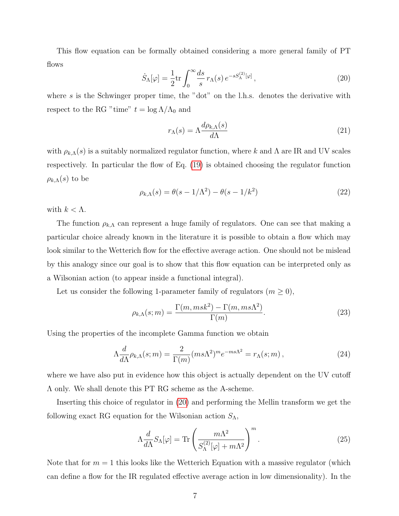This flow equation can be formally obtained considering a more general family of PT flows

<span id="page-6-0"></span>
$$
\dot{S}_{\Lambda}[\varphi] = \frac{1}{2} \text{tr} \int_0^\infty \frac{ds}{s} \, r_{\Lambda}(s) \, e^{-sS_{\Lambda}^{(2)}[\varphi]} \,, \tag{20}
$$

where s is the Schwinger proper time, the "dot" on the l.h.s. denotes the derivative with respect to the RG "time"  $t = \log \Lambda/\Lambda_0$  and

$$
r_{\Lambda}(s) = \Lambda \frac{d\rho_{k,\Lambda}(s)}{d\Lambda} \tag{21}
$$

with  $\rho_{k,\Lambda}(s)$  is a suitably normalized regulator function, where k and  $\Lambda$  are IR and UV scales respectively. In particular the flow of Eq. [\(19\)](#page-5-1) is obtained choosing the regulator function  $\rho_{k,\Lambda}(s)$  to be

$$
\rho_{k,\Lambda}(s) = \theta(s - 1/\Lambda^2) - \theta(s - 1/k^2)
$$
\n(22)

with  $k < \Lambda$ .

The function  $\rho_{k,\Lambda}$  can represent a huge family of regulators. One can see that making a particular choice already known in the literature it is possible to obtain a flow which may look similar to the Wetterich flow for the effective average action. One should not be mislead by this analogy since our goal is to show that this flow equation can be interpreted only as a Wilsonian action (to appear inside a functional integral).

Let us consider the following 1-parameter family of regulators  $(m \geq 0)$ ,

<span id="page-6-2"></span>
$$
\rho_{k,\Lambda}(s;m) = \frac{\Gamma(m,msk^2) - \Gamma(m,ms\Lambda^2)}{\Gamma(m)}.\tag{23}
$$

Using the properties of the incomplete Gamma function we obtain

<span id="page-6-3"></span>
$$
\Lambda \frac{d}{d\Lambda} \rho_{k,\Lambda}(s;m) = \frac{2}{\Gamma(m)} (ms\Lambda^2)^m e^{-ms\Lambda^2} = r_\Lambda(s;m) \,, \tag{24}
$$

where we have also put in evidence how this object is actually dependent on the UV cutoff Λ only. We shall denote this PT RG scheme as the A-scheme.

Inserting this choice of regulator in [\(20\)](#page-6-0) and performing the Mellin transform we get the following exact RG equation for the Wilsonian action  $S_{\Lambda}$ ,

<span id="page-6-1"></span>
$$
\Lambda \frac{d}{d\Lambda} S_{\Lambda}[\varphi] = \text{Tr} \left( \frac{m\Lambda^2}{S_{\Lambda}^{(2)}[\varphi] + m\Lambda^2} \right)^m.
$$
 (25)

Note that for  $m = 1$  this looks like the Wetterich Equation with a massive regulator (which can define a flow for the IR regulated effective average action in low dimensionality). In the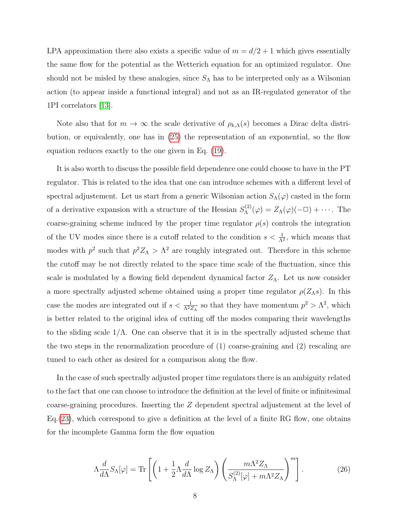LPA approximation there also exists a specific value of  $m = d/2 + 1$  which gives essentially the same flow for the potential as the Wetterich equation for an optimized regulator. One should not be misled by these analogies, since  $S_\Lambda$  has to be interpreted only as a Wilsonian action (to appear inside a functional integral) and not as an IR-regulated generator of the 1PI correlators [\[13\]](#page-12-11).

Note also that for  $m \to \infty$  the scale derivative of  $\rho_{k,\Lambda}(s)$  becomes a Dirac delta distribution, or equivalently, one has in [\(25\)](#page-6-1) the representation of an exponential, so the flow equation reduces exactly to the one given in Eq. [\(19\)](#page-5-1).

It is also worth to discuss the possible field dependence one could choose to have in the PT regulator. This is related to the idea that one can introduce schemes with a different level of spectral adjustement. Let us start from a generic Wilsonian action  $S_{\Lambda}(\varphi)$  casted in the form of a derivative expansion with a structure of the Hessian  $S_{\Lambda}^{(2)}$  $\Lambda^{(2)}(\varphi) = Z_{\Lambda}(\varphi)(-\Box) + \cdots$ . The coarse-graining scheme induced by the proper time regulator  $\rho(s)$  controls the integration of the UV modes since there is a cutoff related to the condition  $s < \frac{1}{\Lambda^2}$ , which means that modes with  $p^2$  such that  $p^2 Z_\Lambda > \Lambda^2$  are roughly integrated out. Therefore in this scheme the cutoff may be not directly related to the space time scale of the fluctuation, since this scale is modulated by a flowing field dependent dynamical factor  $Z_{\Lambda}$ . Let us now consider a more spectrally adjusted scheme obtained using a proper time regulator  $\rho(Z_\Lambda s)$ . In this case the modes are integrated out if  $s < \frac{1}{\Lambda^2 Z_{\Lambda}}$  so that they have momentum  $p^2 > \Lambda^2$ , which is better related to the original idea of cutting off the modes comparing their wavelengths to the sliding scale  $1/\Lambda$ . One can observe that it is in the spectrally adjusted scheme that the two steps in the renormalization procedure of (1) coarse-graining and (2) rescaling are tuned to each other as desired for a comparison along the flow.

In the case of such spectrally adjusted proper time regulators there is an ambiguity related to the fact that one can choose to introduce the definition at the level of finite or infinitesimal coarse-graining procedures. Inserting the Z dependent spectral adjustement at the level of Eq.[\(23\)](#page-6-2), which correspond to give a definition at the level of a finite RG flow, one obtains for the incomplete Gamma form the flow equation

$$
\Lambda \frac{d}{d\Lambda} S_{\Lambda}[\varphi] = \text{Tr}\left[ \left( 1 + \frac{1}{2} \Lambda \frac{d}{d\Lambda} \log Z_{\Lambda} \right) \left( \frac{m\Lambda^2 Z_{\Lambda}}{S_{\Lambda}^{(2)}[\varphi] + m\Lambda^2 Z_{\Lambda}} \right)^m \right]. \tag{26}
$$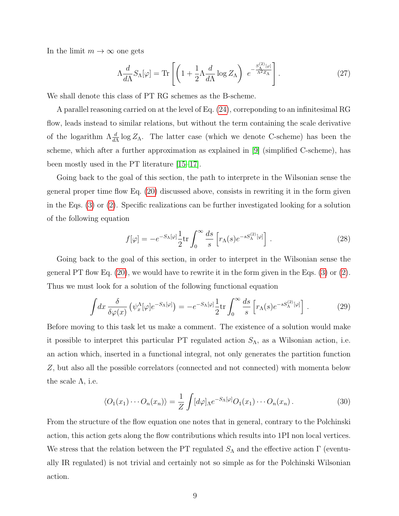In the limit  $m \to \infty$  one gets

$$
\Lambda \frac{d}{d\Lambda} S_{\Lambda}[\varphi] = \text{Tr} \left[ \left( 1 + \frac{1}{2} \Lambda \frac{d}{d\Lambda} \log Z_{\Lambda} \right) e^{-\frac{S_{\Lambda}^{(2)}[\varphi]}{\Lambda^2 Z_{\Lambda}}} \right]. \tag{27}
$$

We shall denote this class of PT RG schemes as the B-scheme.

A parallel reasoning carried on at the level of Eq. [\(24\)](#page-6-3), correponding to an infinitesimal RG flow, leads instead to similar relations, but without the term containing the scale derivative of the logarithm  $\Lambda \frac{d}{d\Lambda} \log Z_{\Lambda}$ . The latter case (which we denote C-scheme) has been the scheme, which after a further approximation as explained in [\[9\]](#page-12-7) (simplified C-scheme), has been mostly used in the PT literature [\[15–](#page-13-1)[17\]](#page-13-2).

Going back to the goal of this section, the path to interprete in the Wilsonian sense the general proper time flow Eq. [\(20\)](#page-6-0) discussed above, consists in rewriting it in the form given in the Eqs. [\(3\)](#page-2-1) or [\(2\)](#page-2-3). Specific realizations can be further investigated looking for a solution of the following equation

$$
f[\varphi] = -e^{-S_{\Lambda}[\varphi]} \frac{1}{2} \text{tr} \int_0^{\infty} \frac{ds}{s} \left[ r_{\Lambda}(s) e^{-sS_{\Lambda}^{(2)}[\varphi]} \right]. \tag{28}
$$

Going back to the goal of this section, in order to interpret in the Wilsonian sense the general PT flow Eq. [\(20\)](#page-6-0), we would have to rewrite it in the form given in the Eqs. [\(3\)](#page-2-1) or [\(2\)](#page-2-3). Thus we must look for a solution of the following functional equation

<span id="page-8-0"></span>
$$
\int dx \frac{\delta}{\delta \varphi(x)} \left( \psi_x^{\Lambda} [\varphi] e^{-S_{\Lambda} [\varphi]} \right) = -e^{-S_{\Lambda} [\varphi]} \frac{1}{2} \text{tr} \int_0^{\infty} \frac{ds}{s} \left[ r_{\Lambda}(s) e^{-s S_{\Lambda}^{(2)} [\varphi]} \right]. \tag{29}
$$

Before moving to this task let us make a comment. The existence of a solution would make it possible to interpret this particular PT regulated action  $S_{\Lambda}$ , as a Wilsonian action, i.e. an action which, inserted in a functional integral, not only generates the partition function Z, but also all the possible correlators (connected and not connected) with momenta below the scale  $\Lambda$ , i.e.

$$
\langle O_1(x_1)\cdots O_n(x_n)\rangle = \frac{1}{Z} \int [d\varphi]_{\Lambda} e^{-S_{\Lambda}[\varphi]} O_1(x_1)\cdots O_n(x_n).
$$
 (30)

From the structure of the flow equation one notes that in general, contrary to the Polchinski action, this action gets along the flow contributions which results into 1PI non local vertices. We stress that the relation between the PT regulated  $S_{\Lambda}$  and the effective action Γ (eventually IR regulated) is not trivial and certainly not so simple as for the Polchinski Wilsonian action.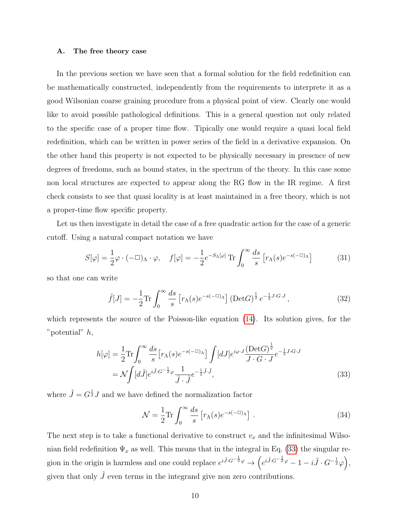#### A. The free theory case

In the previous section we have seen that a formal solution for the field redefinition can be mathematically constructed, independently from the requirements to interprete it as a good Wilsonian coarse graining procedure from a physical point of view. Clearly one would like to avoid possible pathological definitions. This is a general question not only related to the specific case of a proper time flow. Tipically one would require a quasi local field redefinition, which can be written in power series of the field in a derivative expansion. On the other hand this property is not expected to be physically necessary in presence of new degrees of freedoms, such as bound states, in the spectrum of the theory. In this case some non local structures are expected to appear along the RG flow in the IR regime. A first check consists to see that quasi locality is at least maintained in a free theory, which is not a proper-time flow specific property.

Let us then investigate in detail the case of a free quadratic action for the case of a generic cutoff. Using a natural compact notation we have

$$
S[\varphi] = \frac{1}{2}\varphi \cdot (-\Box)_{\Lambda} \cdot \varphi, \quad f[\varphi] = -\frac{1}{2}e^{-S_{\Lambda}[\varphi]} \operatorname{Tr} \int_{0}^{\infty} \frac{ds}{s} \left[ r_{\Lambda}(s)e^{-s(-\Box)_{\Lambda}} \right]
$$
(31)

so that one can write

$$
\tilde{f}[J] = -\frac{1}{2} \text{Tr} \int_0^\infty \frac{ds}{s} \left[ r_\Lambda(s) e^{-s(-\Box_\Lambda)} \right] \left( \text{Det} G \right)^{\frac{1}{2}} e^{-\frac{1}{2} J \cdot G \cdot J},\tag{32}
$$

which represents the source of the Poisson-like equation [\(14\)](#page-4-3). Its solution gives, for the "potential" h,

<span id="page-9-0"></span>
$$
h[\varphi] = \frac{1}{2} \text{Tr} \int_0^\infty \frac{ds}{s} \left[ r_\Lambda(s) e^{-s(-\Box_\Lambda)} \right] \int [dJ] e^{i\varphi \cdot J} \frac{(\text{Det} G)^{\frac{1}{2}}}{J \cdot G \cdot J} e^{-\frac{1}{2} J \cdot G \cdot J}
$$
  
=  $\mathcal{N} \int [d\tilde{J}] e^{i\tilde{J} \cdot G^{-\frac{1}{2}} \varphi} \frac{1}{\tilde{J} \cdot \tilde{J}} e^{-\frac{1}{2} \tilde{J} \cdot \tilde{J}},$  (33)

where  $\tilde{J} = G^{\frac{1}{2}} J$  and we have defined the normalization factor

$$
\mathcal{N} = \frac{1}{2} \text{Tr} \int_0^\infty \frac{ds}{s} \left[ r_\Lambda(s) e^{-s(-\Box_\Lambda)} \right]. \tag{34}
$$

The next step is to take a functional derivative to construct  $v_x$  and the infinitesimal Wilsonian field redefinition  $\Psi_x$  as well. This means that in the integral in Eq. [\(33\)](#page-9-0) the singular region in the origin is harmless and one could replace  $e^{i\tilde{J}\cdot G^{-\frac{1}{2}}\varphi} \to \left(e^{i\tilde{J}\cdot G^{-\frac{1}{2}}\varphi} - 1 - i\tilde{J}\cdot G^{-\frac{1}{2}}\varphi\right),$ given that only  $\tilde{J}$  even terms in the integrand give non zero contributions.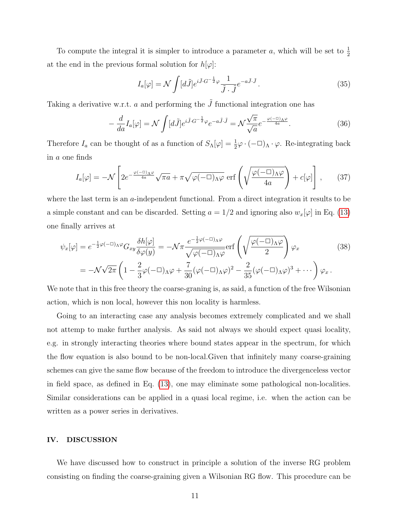To compute the integral it is simpler to introduce a parameter a, which will be set to  $\frac{1}{2}$ at the end in the previous formal solution for  $h[\varphi]$ :

$$
I_a[\varphi] = \mathcal{N} \int [d\tilde{J}] e^{i\tilde{J} \cdot G^{-\frac{1}{2}} \varphi} \frac{1}{\tilde{J} \cdot \tilde{J}} e^{-a\tilde{J} \cdot \tilde{J}}.
$$
 (35)

Taking a derivative w.r.t. a and performing the  $\tilde{J}$  functional integration one has

$$
-\frac{d}{da}I_a[\varphi] = \mathcal{N}\int [d\tilde{J}]e^{i\tilde{J}\cdot G^{-\frac{1}{2}}\varphi}e^{-a\tilde{J}\cdot \tilde{J}} = \mathcal{N}\frac{\sqrt{\pi}}{\sqrt{a}}e^{-\frac{\varphi(-\Box)\Lambda\varphi}{4a}}.\tag{36}
$$

Therefore  $I_a$  can be thought of as a function of  $S_\Lambda[\varphi] = \frac{1}{2}\varphi \cdot (-\Box)_{\Lambda} \cdot \varphi$ . Re-integrating back in a one finds

$$
I_a[\varphi] = -\mathcal{N} \left[ 2e^{-\frac{\varphi(-\Box)_\Lambda \varphi}{4a}} \sqrt{\pi a} + \pi \sqrt{\varphi(-\Box)_\Lambda \varphi} \, \operatorname{erf}\left( \sqrt{\frac{\varphi(-\Box)_\Lambda \varphi}{4a}} \right) + c[\varphi] \right] \,, \tag{37}
$$

where the last term is an a-independent functional. From a direct integration it results to be a simple constant and can be discarded. Setting  $a = 1/2$  and ignoring also  $w_x[\varphi]$  in Eq. [\(13\)](#page-4-2) one finally arrives at

$$
\psi_x[\varphi] = e^{-\frac{1}{2}\varphi(-\Box)\Lambda\varphi} G_{xy} \frac{\delta h[\varphi]}{\delta \varphi(y)} = -\mathcal{N}\pi \frac{e^{-\frac{1}{2}\varphi(-\Box)\Lambda\varphi}}{\sqrt{\varphi(-\Box)\Lambda\varphi}} \text{erf}\left(\sqrt{\frac{\varphi(-\Box)\Lambda\varphi}{2}}\right) \varphi_x
$$
\n
$$
= -\mathcal{N}\sqrt{2\pi} \left(1 - \frac{2}{3}\varphi(-\Box)\Lambda\varphi + \frac{7}{30}(\varphi(-\Box)\Lambda\varphi)^2 - \frac{2}{35}(\varphi(-\Box)\Lambda\varphi)^3 + \cdots\right) \varphi_x.
$$
\n(38)

We note that in this free theory the coarse-graning is, as said, a function of the free Wilsonian action, which is non local, however this non locality is harmless.

Going to an interacting case any analysis becomes extremely complicated and we shall not attemp to make further analysis. As said not always we should expect quasi locality, e.g. in strongly interacting theories where bound states appear in the spectrum, for which the flow equation is also bound to be non-local.Given that infinitely many coarse-graining schemes can give the same flow because of the freedom to introduce the divergenceless vector in field space, as defined in Eq. [\(13\)](#page-4-2), one may eliminate some pathological non-localities. Similar considerations can be applied in a quasi local regime, i.e. when the action can be written as a power series in derivatives.

#### IV. DISCUSSION

We have discussed how to construct in principle a solution of the inverse RG problem consisting on finding the coarse-graining given a Wilsonian RG flow. This procedure can be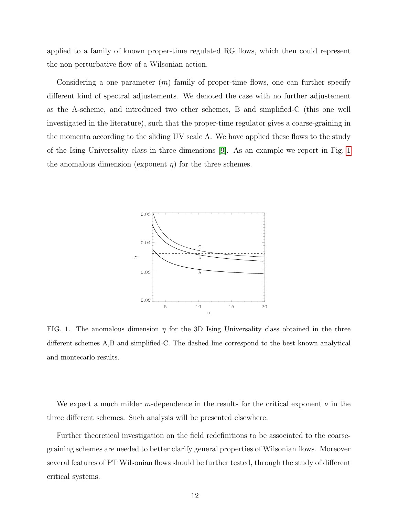applied to a family of known proper-time regulated RG flows, which then could represent the non perturbative flow of a Wilsonian action.

Considering a one parameter  $(m)$  family of proper-time flows, one can further specify different kind of spectral adjustements. We denoted the case with no further adjustement as the A-scheme, and introduced two other schemes, B and simplified-C (this one well investigated in the literature), such that the proper-time regulator gives a coarse-graining in the momenta according to the sliding UV scale  $\Lambda$ . We have applied these flows to the study of the Ising Universality class in three dimensions [\[9\]](#page-12-7). As an example we report in Fig. [1](#page-11-0) the anomalous dimension (exponent  $\eta$ ) for the three schemes.



<span id="page-11-0"></span>FIG. 1. The anomalous dimension  $\eta$  for the 3D Ising Universality class obtained in the three different schemes A,B and simplified-C. The dashed line correspond to the best known analytical and montecarlo results.

We expect a much milder m-dependence in the results for the critical exponent  $\nu$  in the three different schemes. Such analysis will be presented elsewhere.

Further theoretical investigation on the field redefinitions to be associated to the coarsegraining schemes are needed to better clarify general properties of Wilsonian flows. Moreover several features of PT Wilsonian flows should be further tested, through the study of different critical systems.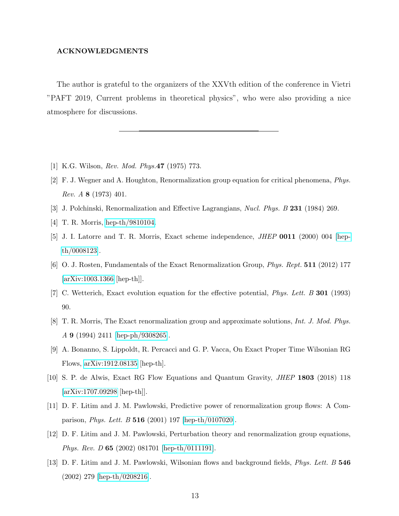### ACKNOWLEDGMENTS

The author is grateful to the organizers of the XXVth edition of the conference in Vietri "PAFT 2019, Current problems in theoretical physics", who were also providing a nice atmosphere for discussions.

- <span id="page-12-1"></span><span id="page-12-0"></span>[1] K.G. Wilson, Rev. Mod. Phys.47 (1975) 773.
- [2] F. J. Wegner and A. Houghton, Renormalization group equation for critical phenomena, Phys. Rev. A 8 (1973) 401.
- <span id="page-12-3"></span><span id="page-12-2"></span>[3] J. Polchinski, Renormalization and Effective Lagrangians, Nucl. Phys. B 231 (1984) 269.
- <span id="page-12-8"></span>[4] T. R. Morris, [hep-th/9810104.](http://arxiv.org/abs/hep-th/9810104)
- [5] J. I. Latorre and T. R. Morris, Exact scheme independence, JHEP 0011 (2000) 004 [\[hep](http://arxiv.org/abs/hep-th/0008123)[th/0008123\]](http://arxiv.org/abs/hep-th/0008123).
- <span id="page-12-4"></span>[6] O. J. Rosten, Fundamentals of the Exact Renormalization Group, Phys. Rept. 511 (2012) 177 [\[arXiv:1003.1366](http://arxiv.org/abs/1003.1366) [hep-th]].
- <span id="page-12-5"></span>[7] C. Wetterich, Exact evolution equation for the effective potential, Phys. Lett. B 301 (1993) 90.
- <span id="page-12-6"></span>[8] T. R. Morris, The Exact renormalization group and approximate solutions, Int. J. Mod. Phys. A 9 (1994) 2411 [\[hep-ph/9308265\]](http://arxiv.org/abs/hep-ph/9308265).
- <span id="page-12-7"></span>[9] A. Bonanno, S. Lippoldt, R. Percacci and G. P. Vacca, On Exact Proper Time Wilsonian RG Flows, [arXiv:1912.08135](http://arxiv.org/abs/1912.08135) [hep-th].
- <span id="page-12-9"></span>[10] S. P. de Alwis, Exact RG Flow Equations and Quantum Gravity, JHEP 1803 (2018) 118 [\[arXiv:1707.09298](http://arxiv.org/abs/1707.09298) [hep-th]].
- <span id="page-12-10"></span>[11] D. F. Litim and J. M. Pawlowski, Predictive power of renormalization group flows: A Comparison, Phys. Lett. B 516 (2001) 197 [\[hep-th/0107020\]](http://arxiv.org/abs/hep-th/0107020).
- [12] D. F. Litim and J. M. Pawlowski, Perturbation theory and renormalization group equations, Phys. Rev. D 65 (2002) 081701 [\[hep-th/0111191\]](http://arxiv.org/abs/hep-th/0111191).
- <span id="page-12-11"></span>[13] D. F. Litim and J. M. Pawlowski, Wilsonian flows and background fields, *Phys. Lett. B* 546 (2002) 279 [\[hep-th/0208216\]](http://arxiv.org/abs/hep-th/0208216).